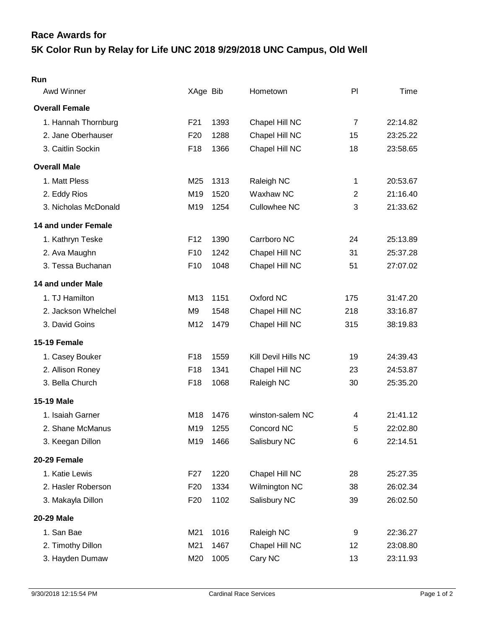## **5K Color Run by Relay for Life UNC 2018 9/29/2018 UNC Campus, Old Well Race Awards for**

| Run                   |                 |      |                     |                |          |
|-----------------------|-----------------|------|---------------------|----------------|----------|
| Awd Winner            | XAge Bib        |      | Hometown            | PI             | Time     |
| <b>Overall Female</b> |                 |      |                     |                |          |
| 1. Hannah Thornburg   | F21             | 1393 | Chapel Hill NC      | $\overline{7}$ | 22:14.82 |
| 2. Jane Oberhauser    | F <sub>20</sub> | 1288 | Chapel Hill NC      | 15             | 23:25.22 |
| 3. Caitlin Sockin     | F18             | 1366 | Chapel Hill NC      | 18             | 23:58.65 |
| <b>Overall Male</b>   |                 |      |                     |                |          |
| 1. Matt Pless         | M25             | 1313 | Raleigh NC          | 1              | 20:53.67 |
| 2. Eddy Rios          | M19             | 1520 | Waxhaw NC           | $\overline{2}$ | 21:16.40 |
| 3. Nicholas McDonald  | M <sub>19</sub> | 1254 | <b>Cullowhee NC</b> | 3              | 21:33.62 |
| 14 and under Female   |                 |      |                     |                |          |
| 1. Kathryn Teske      | F <sub>12</sub> | 1390 | Carrboro NC         | 24             | 25:13.89 |
| 2. Ava Maughn         | F <sub>10</sub> | 1242 | Chapel Hill NC      | 31             | 25:37.28 |
| 3. Tessa Buchanan     | F <sub>10</sub> | 1048 | Chapel Hill NC      | 51             | 27:07.02 |
| 14 and under Male     |                 |      |                     |                |          |
| 1. TJ Hamilton        | M13             | 1151 | Oxford NC           | 175            | 31:47.20 |
| 2. Jackson Whelchel   | M <sub>9</sub>  | 1548 | Chapel Hill NC      | 218            | 33:16.87 |
| 3. David Goins        | M12             | 1479 | Chapel Hill NC      | 315            | 38:19.83 |
| 15-19 Female          |                 |      |                     |                |          |
| 1. Casey Bouker       | F <sub>18</sub> | 1559 | Kill Devil Hills NC | 19             | 24:39.43 |
| 2. Allison Roney      | F18             | 1341 | Chapel Hill NC      | 23             | 24:53.87 |
| 3. Bella Church       | F18             | 1068 | Raleigh NC          | 30             | 25:35.20 |
| <b>15-19 Male</b>     |                 |      |                     |                |          |
| 1. Isaiah Garner      | M18             | 1476 | winston-salem NC    | 4              | 21:41.12 |
| 2. Shane McManus      | M <sub>19</sub> | 1255 | Concord NC          | 5              | 22:02.80 |
| 3. Keegan Dillon      | M19             | 1466 | Salisbury NC        | 6              | 22:14.51 |
| 20-29 Female          |                 |      |                     |                |          |
| 1. Katie Lewis        | F <sub>27</sub> | 1220 | Chapel Hill NC      | 28             | 25:27.35 |
| 2. Hasler Roberson    | F <sub>20</sub> | 1334 | Wilmington NC       | 38             | 26:02.34 |
| 3. Makayla Dillon     | F <sub>20</sub> | 1102 | Salisbury NC        | 39             | 26:02.50 |
| <b>20-29 Male</b>     |                 |      |                     |                |          |
| 1. San Bae            | M21             | 1016 | Raleigh NC          | 9              | 22:36.27 |
| 2. Timothy Dillon     | M21             | 1467 | Chapel Hill NC      | 12             | 23:08.80 |
| 3. Hayden Dumaw       | M20             | 1005 | Cary NC             | 13             | 23:11.93 |